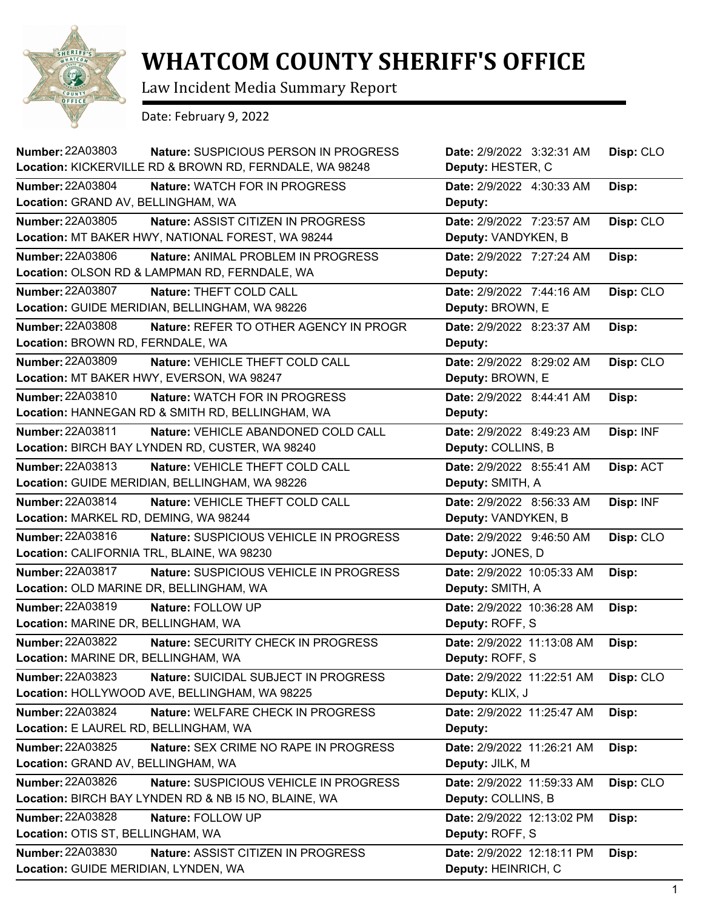

## **WHATCOM COUNTY SHERIFF'S OFFICE**

Law Incident Media Summary Report

Date: February 9, 2022

| <b>Number: 22A03803</b>                                          | Nature: SUSPICIOUS PERSON IN PROGRESS<br>Location: KICKERVILLE RD & BROWN RD, FERNDALE, WA 98248 | Date: 2/9/2022 3:32:31 AM<br>Deputy: HESTER, C    | Disp: CLO |
|------------------------------------------------------------------|--------------------------------------------------------------------------------------------------|---------------------------------------------------|-----------|
| <b>Number: 22A03804</b><br>Location: GRAND AV, BELLINGHAM, WA    | Nature: WATCH FOR IN PROGRESS                                                                    | Date: 2/9/2022 4:30:33 AM<br>Deputy:              | Disp:     |
| Number: 22A03805                                                 | Nature: ASSIST CITIZEN IN PROGRESS<br>Location: MT BAKER HWY, NATIONAL FOREST, WA 98244          | Date: 2/9/2022 7:23:57 AM<br>Deputy: VANDYKEN, B  | Disp: CLO |
| <b>Number: 22A03806</b>                                          | Nature: ANIMAL PROBLEM IN PROGRESS<br>Location: OLSON RD & LAMPMAN RD, FERNDALE, WA              | Date: 2/9/2022 7:27:24 AM<br>Deputy:              | Disp:     |
| <b>Number: 22A03807</b>                                          | Nature: THEFT COLD CALL<br>Location: GUIDE MERIDIAN, BELLINGHAM, WA 98226                        | Date: 2/9/2022 7:44:16 AM<br>Deputy: BROWN, E     | Disp: CLO |
| <b>Number: 22A03808</b><br>Location: BROWN RD, FERNDALE, WA      | Nature: REFER TO OTHER AGENCY IN PROGR                                                           | Date: 2/9/2022 8:23:37 AM<br>Deputy:              | Disp:     |
| <b>Number: 22A03809</b>                                          | Nature: VEHICLE THEFT COLD CALL<br>Location: MT BAKER HWY, EVERSON, WA 98247                     | Date: 2/9/2022 8:29:02 AM<br>Deputy: BROWN, E     | Disp: CLO |
| Number: 22A03810                                                 | Nature: WATCH FOR IN PROGRESS<br>Location: HANNEGAN RD & SMITH RD, BELLINGHAM, WA                | Date: 2/9/2022 8:44:41 AM<br>Deputy:              | Disp:     |
| <b>Number: 22A03811</b>                                          | Nature: VEHICLE ABANDONED COLD CALL<br>Location: BIRCH BAY LYNDEN RD, CUSTER, WA 98240           | Date: 2/9/2022 8:49:23 AM<br>Deputy: COLLINS, B   | Disp: INF |
| Number: 22A03813                                                 | Nature: VEHICLE THEFT COLD CALL<br>Location: GUIDE MERIDIAN, BELLINGHAM, WA 98226                | Date: 2/9/2022 8:55:41 AM<br>Deputy: SMITH, A     | Disp: ACT |
| Number: 22A03814<br>Location: MARKEL RD, DEMING, WA 98244        | Nature: VEHICLE THEFT COLD CALL                                                                  | Date: 2/9/2022 8:56:33 AM<br>Deputy: VANDYKEN, B  | Disp: INF |
| Number: 22A03816<br>Location: CALIFORNIA TRL, BLAINE, WA 98230   | Nature: SUSPICIOUS VEHICLE IN PROGRESS                                                           | Date: 2/9/2022 9:46:50 AM<br>Deputy: JONES, D     | Disp: CLO |
| Number: 22A03817<br>Location: OLD MARINE DR, BELLINGHAM, WA      | Nature: SUSPICIOUS VEHICLE IN PROGRESS                                                           | Date: 2/9/2022 10:05:33 AM<br>Deputy: SMITH, A    | Disp:     |
| Number: 22A03819<br>Location: MARINE DR, BELLINGHAM, WA          | Nature: FOLLOW UP                                                                                | Date: 2/9/2022 10:36:28 AM<br>Deputy: ROFF, S     | Disp:     |
| Number: 22A03822<br>Location: MARINE DR, BELLINGHAM, WA          | Nature: SECURITY CHECK IN PROGRESS                                                               | Date: 2/9/2022 11:13:08 AM<br>Deputy: ROFF, S     | Disp:     |
| Number: 22A03823                                                 | Nature: SUICIDAL SUBJECT IN PROGRESS<br>Location: HOLLYWOOD AVE, BELLINGHAM, WA 98225            | Date: 2/9/2022 11:22:51 AM<br>Deputy: KLIX, J     | Disp: CLO |
| <b>Number: 22A03824</b><br>Location: E LAUREL RD, BELLINGHAM, WA | Nature: WELFARE CHECK IN PROGRESS                                                                | Date: 2/9/2022 11:25:47 AM<br>Deputy:             | Disp:     |
| Number: 22A03825<br>Location: GRAND AV, BELLINGHAM, WA           | Nature: SEX CRIME NO RAPE IN PROGRESS                                                            | Date: 2/9/2022 11:26:21 AM<br>Deputy: JILK, M     | Disp:     |
| Number: 22A03826                                                 | Nature: SUSPICIOUS VEHICLE IN PROGRESS<br>Location: BIRCH BAY LYNDEN RD & NB I5 NO, BLAINE, WA   | Date: 2/9/2022 11:59:33 AM<br>Deputy: COLLINS, B  | Disp: CLO |
| <b>Number: 22A03828</b><br>Location: OTIS ST, BELLINGHAM, WA     | Nature: FOLLOW UP                                                                                | Date: 2/9/2022 12:13:02 PM<br>Deputy: ROFF, S     | Disp:     |
| <b>Number: 22A03830</b><br>Location: GUIDE MERIDIAN, LYNDEN, WA  | Nature: ASSIST CITIZEN IN PROGRESS                                                               | Date: 2/9/2022 12:18:11 PM<br>Deputy: HEINRICH, C | Disp:     |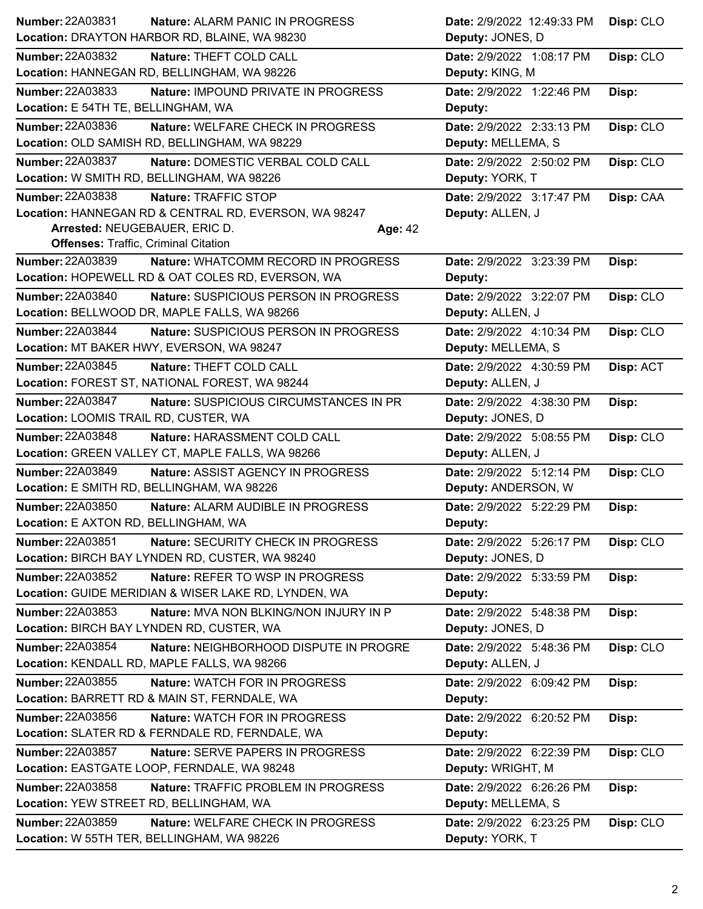| Number: 22A03831                            | Nature: ALARM PANIC IN PROGRESS                       |         | Date: 2/9/2022 12:49:33 PM | Disp: CLO |
|---------------------------------------------|-------------------------------------------------------|---------|----------------------------|-----------|
|                                             | Location: DRAYTON HARBOR RD, BLAINE, WA 98230         |         | Deputy: JONES, D           |           |
| Number: 22A03832                            | Nature: THEFT COLD CALL                               |         | Date: 2/9/2022 1:08:17 PM  | Disp: CLO |
|                                             | Location: HANNEGAN RD, BELLINGHAM, WA 98226           |         | Deputy: KING, M            |           |
| Number: 22A03833                            | Nature: IMPOUND PRIVATE IN PROGRESS                   |         | Date: 2/9/2022 1:22:46 PM  | Disp:     |
| Location: E 54TH TE, BELLINGHAM, WA         |                                                       |         | Deputy:                    |           |
| <b>Number: 22A03836</b>                     | Nature: WELFARE CHECK IN PROGRESS                     |         | Date: 2/9/2022 2:33:13 PM  | Disp: CLO |
|                                             | Location: OLD SAMISH RD, BELLINGHAM, WA 98229         |         | Deputy: MELLEMA, S         |           |
| <b>Number: 22A03837</b>                     | Nature: DOMESTIC VERBAL COLD CALL                     |         | Date: 2/9/2022 2:50:02 PM  | Disp: CLO |
| Location: W SMITH RD, BELLINGHAM, WA 98226  |                                                       |         | Deputy: YORK, T            |           |
| Number: 22A03838                            | Nature: TRAFFIC STOP                                  |         | Date: 2/9/2022 3:17:47 PM  | Disp: CAA |
|                                             | Location: HANNEGAN RD & CENTRAL RD, EVERSON, WA 98247 |         | Deputy: ALLEN, J           |           |
| Arrested: NEUGEBAUER, ERIC D.               |                                                       | Age: 42 |                            |           |
| <b>Offenses: Traffic, Criminal Citation</b> |                                                       |         |                            |           |
| <b>Number: 22A03839</b>                     | Nature: WHATCOMM RECORD IN PROGRESS                   |         | Date: 2/9/2022 3:23:39 PM  | Disp:     |
|                                             | Location: HOPEWELL RD & OAT COLES RD, EVERSON, WA     |         | Deputy:                    |           |
| Number: 22A03840                            | Nature: SUSPICIOUS PERSON IN PROGRESS                 |         | Date: 2/9/2022 3:22:07 PM  | Disp: CLO |
|                                             | Location: BELLWOOD DR, MAPLE FALLS, WA 98266          |         | Deputy: ALLEN, J           |           |
| <b>Number: 22A03844</b>                     | Nature: SUSPICIOUS PERSON IN PROGRESS                 |         | Date: 2/9/2022 4:10:34 PM  | Disp: CLO |
|                                             | Location: MT BAKER HWY, EVERSON, WA 98247             |         | Deputy: MELLEMA, S         |           |
| Number: 22A03845                            | Nature: THEFT COLD CALL                               |         | Date: 2/9/2022 4:30:59 PM  | Disp: ACT |
|                                             | Location: FOREST ST, NATIONAL FOREST, WA 98244        |         | Deputy: ALLEN, J           |           |
| <b>Number: 22A03847</b>                     | Nature: SUSPICIOUS CIRCUMSTANCES IN PR                |         | Date: 2/9/2022 4:38:30 PM  | Disp:     |
| Location: LOOMIS TRAIL RD, CUSTER, WA       |                                                       |         | Deputy: JONES, D           |           |
| <b>Number: 22A03848</b>                     | Nature: HARASSMENT COLD CALL                          |         | Date: 2/9/2022 5:08:55 PM  | Disp: CLO |
|                                             | Location: GREEN VALLEY CT, MAPLE FALLS, WA 98266      |         | Deputy: ALLEN, J           |           |
| <b>Number: 22A03849</b>                     | Nature: ASSIST AGENCY IN PROGRESS                     |         | Date: 2/9/2022 5:12:14 PM  | Disp: CLO |
| Location: E SMITH RD, BELLINGHAM, WA 98226  |                                                       |         | Deputy: ANDERSON, W        |           |
| <b>Number: 22A03850</b>                     | Nature: ALARM AUDIBLE IN PROGRESS                     |         | Date: 2/9/2022 5:22:29 PM  | Disp:     |
| Location: E AXTON RD, BELLINGHAM, WA        |                                                       |         | Deputy:                    |           |
| Number: 22A03851                            | Nature: SECURITY CHECK IN PROGRESS                    |         | Date: 2/9/2022 5:26:17 PM  | Disp: CLO |
|                                             | Location: BIRCH BAY LYNDEN RD, CUSTER, WA 98240       |         | Deputy: JONES, D           |           |
| <b>Number: 22A03852</b>                     | Nature: REFER TO WSP IN PROGRESS                      |         | Date: 2/9/2022 5:33:59 PM  | Disp:     |
|                                             | Location: GUIDE MERIDIAN & WISER LAKE RD, LYNDEN, WA  |         | Deputy:                    |           |
| Number: 22A03853                            | Nature: MVA NON BLKING/NON INJURY IN P                |         | Date: 2/9/2022 5:48:38 PM  | Disp:     |
| Location: BIRCH BAY LYNDEN RD, CUSTER, WA   |                                                       |         | Deputy: JONES, D           |           |
| Number: 22A03854                            | Nature: NEIGHBORHOOD DISPUTE IN PROGRE                |         | Date: 2/9/2022 5:48:36 PM  | Disp: CLO |
|                                             | Location: KENDALL RD, MAPLE FALLS, WA 98266           |         | Deputy: ALLEN, J           |           |
| Number: 22A03855                            | Nature: WATCH FOR IN PROGRESS                         |         | Date: 2/9/2022 6:09:42 PM  | Disp:     |
|                                             | Location: BARRETT RD & MAIN ST, FERNDALE, WA          |         | Deputy:                    |           |
| Number: 22A03856                            | Nature: WATCH FOR IN PROGRESS                         |         | Date: 2/9/2022 6:20:52 PM  | Disp:     |
|                                             | Location: SLATER RD & FERNDALE RD, FERNDALE, WA       |         | Deputy:                    |           |
| Number: 22A03857                            | <b>Nature: SERVE PAPERS IN PROGRESS</b>               |         | Date: 2/9/2022 6:22:39 PM  | Disp: CLO |
|                                             | Location: EASTGATE LOOP, FERNDALE, WA 98248           |         | Deputy: WRIGHT, M          |           |
| <b>Number: 22A03858</b>                     | Nature: TRAFFIC PROBLEM IN PROGRESS                   |         | Date: 2/9/2022 6:26:26 PM  | Disp:     |
| Location: YEW STREET RD, BELLINGHAM, WA     |                                                       |         | Deputy: MELLEMA, S         |           |
| <b>Number: 22A03859</b>                     | Nature: WELFARE CHECK IN PROGRESS                     |         | Date: 2/9/2022 6:23:25 PM  | Disp: CLO |
| Location: W 55TH TER, BELLINGHAM, WA 98226  |                                                       |         | Deputy: YORK, T            |           |